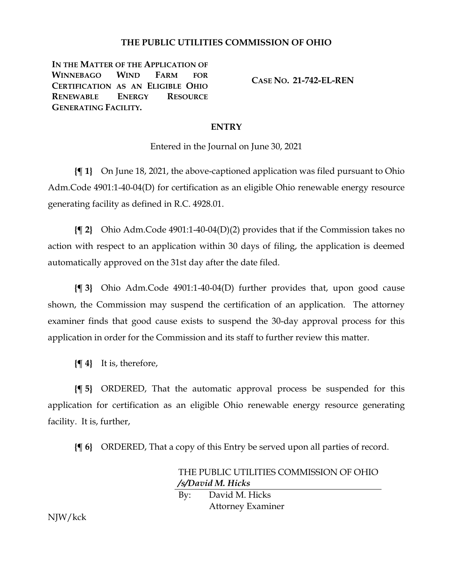## **THE PUBLIC UTILITIES COMMISSION OF OHIO**

**IN THE MATTER OF THE APPLICATION OF WINNEBAGO WIND FARM FOR CERTIFICATION AS AN ELIGIBLE OHIO RENEWABLE ENERGY RESOURCE GENERATING FACILITY.**

**CASE NO. 21-742-EL-REN**

## **ENTRY**

Entered in the Journal on June 30, 2021

**{¶ 1}** On June 18, 2021, the above-captioned application was filed pursuant to Ohio Adm.Code 4901:1-40-04(D) for certification as an eligible Ohio renewable energy resource generating facility as defined in R.C. 4928.01.

**{¶ 2}** Ohio Adm.Code 4901:1-40-04(D)(2) provides that if the Commission takes no action with respect to an application within 30 days of filing, the application is deemed automatically approved on the 31st day after the date filed.

**{¶ 3}** Ohio Adm.Code 4901:1-40-04(D) further provides that, upon good cause shown, the Commission may suspend the certification of an application. The attorney examiner finds that good cause exists to suspend the 30-day approval process for this application in order for the Commission and its staff to further review this matter.

**{¶ 4}** It is, therefore,

**{¶ 5}** ORDERED, That the automatic approval process be suspended for this application for certification as an eligible Ohio renewable energy resource generating facility. It is, further,

**{¶ 6}** ORDERED, That a copy of this Entry be served upon all parties of record.

| THE PUBLIC UTILITIES COMMISSION OF OHIO |                          |
|-----------------------------------------|--------------------------|
| /s/David M. Hicks                       |                          |
|                                         | By: David M. Hicks       |
|                                         | <b>Attorney Examiner</b> |
|                                         |                          |

NJW/kck